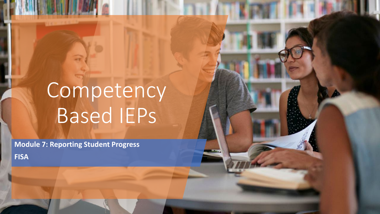# Competency Based IEPs

**Module 7: Reporting Student Progress**

**FISA**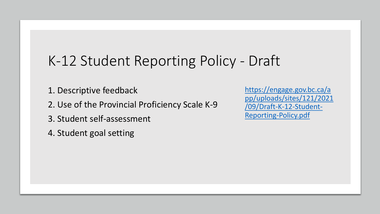## K-12 Student Reporting Policy - Draft

- 1. Descriptive feedback
- 2. Use of the Provincial Proficiency Scale K-9
- 3. Student self-assessment
- 4. Student goal setting

https://engage.gov.bc.ca/a [pp/uploads/sites/121/2021](https://engage.gov.bc.ca/app/uploads/sites/121/2021/09/Draft-K-12-Student-Reporting-Policy.pdf) /09/Draft-K-12-Student-Reporting-Policy.pdf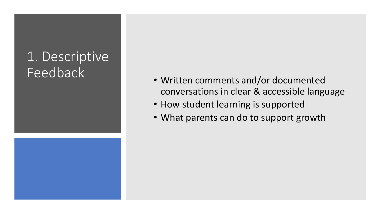## 1. Descriptive Feedback

- Written comments and/or documented conversations in clear & accessible language
- How student learning is supported
- What parents can do to support growth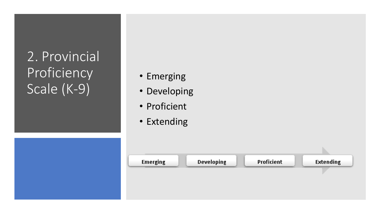## 2. Provincial Proficiency Scale (K-9)

- Emerging
- Developing
- Proficient
- Extending

| <b>Emerging</b> | <b>Developing</b> | Proficient | <b>Extending</b> |
|-----------------|-------------------|------------|------------------|
|                 |                   |            |                  |
|                 |                   |            |                  |
|                 |                   |            |                  |
|                 |                   |            |                  |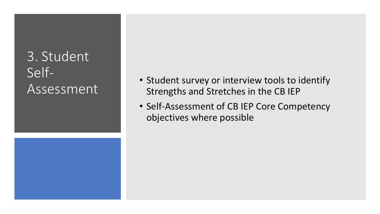## 3. Student Self-**Assessment**

- Student survey or interview tools to identify Strengths and Stretches in the CB IEP
- Self-Assessment of CB IEP Core Competency objectives where possible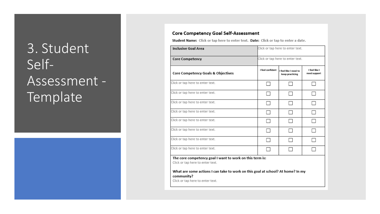## 3. Student Self-Assessment -Template



### Core Competency Goal Self-Assessment

Student Name: Click or tap here to enter text. Date: Click or tap to enter a date.

| <b>Inclusive Goal Area</b>                                                                    |                  | Click or tap here to enter text.         |                               |  |  |  |  |
|-----------------------------------------------------------------------------------------------|------------------|------------------------------------------|-------------------------------|--|--|--|--|
| Core Competency                                                                               |                  | Click or tap here to enter text.         |                               |  |  |  |  |
| <b>Core Competency Goals &amp; Objectives</b>                                                 | I feel confident | I feel like I need to<br>keep practicing | I feel like I<br>need support |  |  |  |  |
| Click or tap here to enter text.                                                              |                  |                                          |                               |  |  |  |  |
| Click or tap here to enter text.                                                              |                  |                                          |                               |  |  |  |  |
| Click or tap here to enter text.                                                              |                  |                                          |                               |  |  |  |  |
| Click or tap here to enter text.                                                              |                  |                                          |                               |  |  |  |  |
| Click or tap here to enter text.                                                              |                  |                                          |                               |  |  |  |  |
| Click or tap here to enter text.                                                              |                  |                                          |                               |  |  |  |  |
| Click or tap here to enter text.                                                              |                  |                                          |                               |  |  |  |  |
| Click or tap here to enter text.                                                              |                  |                                          |                               |  |  |  |  |
| The core competency goal I want to work on this term is:<br>Click or tap here to enter text.  |                  |                                          |                               |  |  |  |  |
| What are some actions I can take to work on this goal at school? At home? In my<br>community? |                  |                                          |                               |  |  |  |  |

Click or tap here to enter text.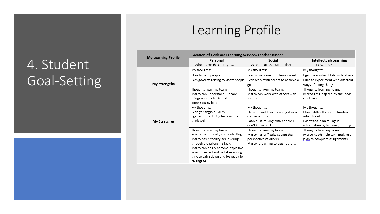### 4. Student Goal-Setting



| <b>My Learning Profile</b> | Location of Evidence: Learning Services Teacher Binder |                                     |                                      |  |  |  |  |
|----------------------------|--------------------------------------------------------|-------------------------------------|--------------------------------------|--|--|--|--|
|                            | Personal                                               | Social                              | Intellectual/Learning                |  |  |  |  |
|                            | What I can do on my own.                               | What I can do with others.          | How I think.                         |  |  |  |  |
|                            | My thoughts:                                           | My thoughts:                        | My thoughts:                         |  |  |  |  |
|                            | I like to help people.                                 | I can solve some problems myself.   | I get ideas when I talk with others. |  |  |  |  |
|                            | I am good at getting to know people                    | I can work with others to achieve a | I like to experiment with different  |  |  |  |  |
| My Strengths               |                                                        | goal.                               | ways of doing things.                |  |  |  |  |
|                            | Thoughts from my team:                                 | Thoughts from my team:              | Thoughts from my team:               |  |  |  |  |
|                            | Marco can understand & share                           | Marco can work with others with     | Marco gets inspired by the ideas     |  |  |  |  |
|                            | things about a topic that is<br>important to him.      | support.                            | of others.                           |  |  |  |  |
|                            | My thoughts:                                           | My thoughts:                        | My thoughts:                         |  |  |  |  |
|                            | I can get angry quickly.                               | I have a hard time focusing during  | I have difficulty understanding      |  |  |  |  |
|                            | I get anxious during tests and can't                   | conversations.                      | what I read.                         |  |  |  |  |
| <b>My Stretches</b>        | think well.                                            | I don't like talking with people I  | I can't focus on taking in           |  |  |  |  |
|                            |                                                        | don't know well.                    | information by listening for long.   |  |  |  |  |
|                            | Thoughts from my team:                                 | Thoughts from my team:              | Thoughts from my team:               |  |  |  |  |
|                            | Marco has difficulty concentrating.                    | Marco has difficulty seeing the     | Marco needs help with making a       |  |  |  |  |
|                            | Marco has difficulty persevering                       | perspective of others.              | plan to complete assignments.        |  |  |  |  |
|                            | through a challenging task.                            | Marco is learning to trust others.  |                                      |  |  |  |  |
|                            | Marco can easily become explosive                      |                                     |                                      |  |  |  |  |
|                            | when stressed and he takes a long                      |                                     |                                      |  |  |  |  |
|                            | time to calm down and be ready to                      |                                     |                                      |  |  |  |  |
|                            | re-engage.                                             |                                     |                                      |  |  |  |  |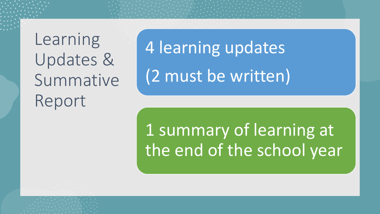Learning Updates & Summative Report

4 learning updates (2 must be written)

1 summary of learning at the end of the school year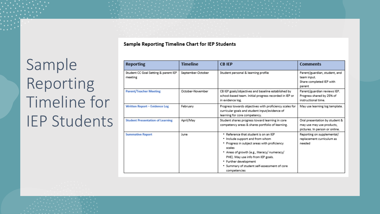Sample Reporting Timeline Chart for IEP Students

Sample Reporting Timeline for IEP Students

| Reporting                                       | <b>Timeline</b>   | <b>CB IEP</b>                                                                                                                                                                                                                                                                                                    | <b>Comments</b>                                                                               |
|-------------------------------------------------|-------------------|------------------------------------------------------------------------------------------------------------------------------------------------------------------------------------------------------------------------------------------------------------------------------------------------------------------|-----------------------------------------------------------------------------------------------|
| Student CC Goal Setting & parent IEP<br>meeting | September-October | Student personal & learning profile                                                                                                                                                                                                                                                                              | Parent/guardian, student, and<br>team input.<br>Share completed IEP with<br>parent            |
| <b>Parent/Teacher Meeting</b>                   | October-November  | CB IEP goals/objectives and baseline established by<br>school-based team. Initial progress recorded in IEP or<br>in evidence log.                                                                                                                                                                                | Parent/guardian reviews IEP.<br>Progress shared by 25% of<br>instructional time.              |
| Written Report - Evidence Log                   | February          | Progress towards objectives with proficiency scales for<br>curricular goals and student input/evidence of<br>learning for core competency.                                                                                                                                                                       | May use learning log template.                                                                |
| <b>Student Presentation of Learning</b>         | April/May         | Student shares progress toward learning in core<br>competency areas & shares portfolio of learning.                                                                                                                                                                                                              | Oral presentation by student &<br>may use may use products,<br>pictures. In person or online. |
| <b>Summative Report</b>                         | June              | . Reference that student is on an IEP<br>* Include support and from whom<br>* Progress in subject areas with proficiency<br>scales<br>* Areas of growth (e.g., literacy/numeracy/<br>PHE). May use info from IEP goals.<br>* Further development<br>* Summary of student self-assessment of core<br>competencies | Reporting on supplemental/<br>replacement curriculum as<br>needed                             |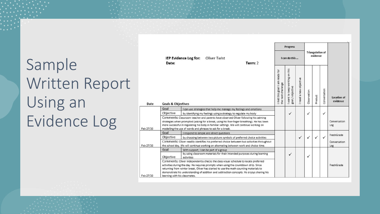Sample Written Report Using an Evidence Log

|           |                                                                                            |                       |                                                                                                                                                        |                                                                                             |                                                       | <b>Progress</b>                                    |                          |              |                                     |              |                                |
|-----------|--------------------------------------------------------------------------------------------|-----------------------|--------------------------------------------------------------------------------------------------------------------------------------------------------|---------------------------------------------------------------------------------------------|-------------------------------------------------------|----------------------------------------------------|--------------------------|--------------|-------------------------------------|--------------|--------------------------------|
|           | Date:                                                                                      | IEP Evidence Log for: | Oliver Twist                                                                                                                                           | Term: 2                                                                                     |                                                       | I can do this                                      |                          |              | <b>Triangulation of</b><br>evidence |              |                                |
| Date      | <b>Goals &amp; Objectives</b>                                                              |                       |                                                                                                                                                        |                                                                                             | I met this goal! I am ready for<br>the next challenge | I want to keep working on this<br>goal / objective | a new objective<br>need. | Observation  | Product                             | Conversation | <b>Location of</b><br>evidence |
|           | Goal                                                                                       |                       | I can use strategies that help me manage my feelings and emotions                                                                                      |                                                                                             |                                                       |                                                    |                          |              |                                     |              |                                |
|           | Objective                                                                                  |                       | by identifying my feelings using a strategy to regulate my body                                                                                        |                                                                                             |                                                       |                                                    |                          | $\checkmark$ |                                     | ✓            |                                |
|           |                                                                                            |                       |                                                                                                                                                        | Comments: Classroom teacher and parents have observed Oliver following his calming          |                                                       |                                                    |                          |              |                                     |              |                                |
|           |                                                                                            |                       |                                                                                                                                                        | strategies when prompted (asking for a break, using his five-finger breathing). He has been |                                                       |                                                    |                          |              |                                     |              | Conversation                   |
| Feb 27/20 |                                                                                            |                       | more successful in regulating his body in familiar settings. We will continue working on<br>modelling the use of words and phrases to ask for a break. |                                                                                             |                                                       |                                                    |                          |              |                                     |              | Log                            |
|           | Goal                                                                                       |                       | I respond to simple and direct questions                                                                                                               |                                                                                             |                                                       |                                                    |                          |              |                                     |              |                                |
|           | Objective                                                                                  |                       |                                                                                                                                                        | by choosing between two picture symbols of preferred choice activities                      |                                                       |                                                    |                          |              | ✓                                   | ✓            | FreshGrade                     |
|           | Comments: Oliver readily identifies his preferred choice between two activities throughout |                       |                                                                                                                                                        |                                                                                             |                                                       |                                                    |                          |              |                                     |              | Conversation                   |
| Feb 27/20 | the school day. We will continue working on alternating between work and choice time.      |                       |                                                                                                                                                        |                                                                                             |                                                       |                                                    |                          |              |                                     |              | Log                            |
|           | Goal                                                                                       |                       | With support, I can be part of a group                                                                                                                 |                                                                                             |                                                       |                                                    |                          |              |                                     |              |                                |
|           | Objective                                                                                  |                       |                                                                                                                                                        | by using classroom materials for their intended purposes during learning                    |                                                       | ✓                                                  |                          | ✓            |                                     |              |                                |
|           |                                                                                            | activities            |                                                                                                                                                        | Comments: Oliver independently checks the class visual schedule to locate preferred         |                                                       |                                                    |                          |              |                                     |              |                                |
|           |                                                                                            |                       | activities during the day. He requires prompts when using the countdown strip. Since                                                                   |                                                                                             |                                                       |                                                    |                          |              |                                     |              | FreshGrade                     |
|           |                                                                                            |                       | returning from winter break, Oliver has started to use the math counting materials to                                                                  |                                                                                             |                                                       |                                                    |                          |              |                                     |              |                                |
|           |                                                                                            |                       |                                                                                                                                                        | demonstrate his understanding of addition and subtraction concepts. He enjoys sharing his   |                                                       |                                                    |                          |              |                                     |              |                                |
| Feb 27/20 | learning with his classmates.                                                              |                       |                                                                                                                                                        |                                                                                             |                                                       |                                                    |                          |              |                                     |              |                                |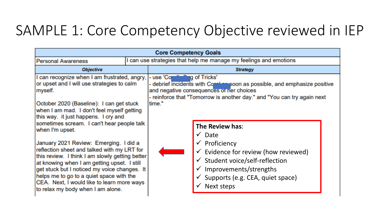### SAMPLE 1: Core Competency Objective reviewed in IEP

| <b>Core Competency Goals</b>                                                                                                                                                                                                                                                                                                                                                                                                                                                                                                                                                                                                                                                       |                 |                                                                   |                                                                                                                                                                                                                                                                                                                                                                                                                                                                                   |  |  |  |
|------------------------------------------------------------------------------------------------------------------------------------------------------------------------------------------------------------------------------------------------------------------------------------------------------------------------------------------------------------------------------------------------------------------------------------------------------------------------------------------------------------------------------------------------------------------------------------------------------------------------------------------------------------------------------------|-----------------|-------------------------------------------------------------------|-----------------------------------------------------------------------------------------------------------------------------------------------------------------------------------------------------------------------------------------------------------------------------------------------------------------------------------------------------------------------------------------------------------------------------------------------------------------------------------|--|--|--|
| <b>Personal Awareness</b>                                                                                                                                                                                                                                                                                                                                                                                                                                                                                                                                                                                                                                                          |                 | I can use strategies that help me manage my feelings and emotions |                                                                                                                                                                                                                                                                                                                                                                                                                                                                                   |  |  |  |
| <b>Objective</b>                                                                                                                                                                                                                                                                                                                                                                                                                                                                                                                                                                                                                                                                   | <b>Strategy</b> |                                                                   |                                                                                                                                                                                                                                                                                                                                                                                                                                                                                   |  |  |  |
| I can recognize when I am frustrated, angry,<br>or upset and I will use strategies to calm<br>myself.<br>October 2020 (Baseline): I can get stuck<br>when I am mad. I don't feel myself getting<br>this way. it just happens. I cry and<br>sometimes scream. I can't hear people talk<br>when I'm upset.<br>January 2021 Review: Emerging. I did a<br>reflection sheet and talked with my LRT for<br>this review. I think I am slowly getting better<br>at knowing when I am getting upset. I still<br>get stuck but I noticed my voice changes. It<br>helps me to go to a quiet space with the<br>CEA. Next, I would like to learn more ways<br>to relax my body when I am alone. |                 | use 'Core'' and "and of Tricks'<br>time."                         | - debrief incidents with Commingsoon as possible, and emphasize positive<br>and negative consequences of her choices<br>- reinforce that "Tomorrow is another day." and "You can try again next<br>The Review has:<br>$\checkmark$ Date<br>$\checkmark$ Proficiency<br>$\checkmark$ Evidence for review (how reviewed)<br>$\checkmark$ Student voice/self-reflection<br>$\checkmark$ Improvements/strengths<br>$\checkmark$ Supports (e.g. CEA, quiet space)<br><b>Next steps</b> |  |  |  |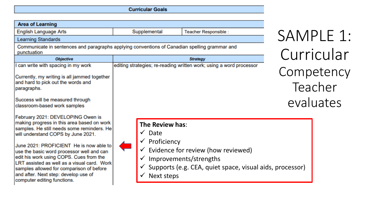**Curricular Goals** 

| <b>Area of Learning</b>                                                                                                                                                                                                                                                                                                                                                                                                                                                  |                                                                                                       |                                                                                                                          |                       |
|--------------------------------------------------------------------------------------------------------------------------------------------------------------------------------------------------------------------------------------------------------------------------------------------------------------------------------------------------------------------------------------------------------------------------------------------------------------------------|-------------------------------------------------------------------------------------------------------|--------------------------------------------------------------------------------------------------------------------------|-----------------------|
| <b>English Language Arts</b>                                                                                                                                                                                                                                                                                                                                                                                                                                             | Supplemental                                                                                          | Teacher Responsible :                                                                                                    | SAMPLE 1:             |
| <b>Learning Standards</b>                                                                                                                                                                                                                                                                                                                                                                                                                                                |                                                                                                       |                                                                                                                          |                       |
| Communicate in sentences and paragraphs applying conventions of Canadian spelling grammar and<br>punctuation                                                                                                                                                                                                                                                                                                                                                             |                                                                                                       |                                                                                                                          | Curricular            |
| <b>Objective</b>                                                                                                                                                                                                                                                                                                                                                                                                                                                         |                                                                                                       | <b>Strategy</b>                                                                                                          |                       |
| can write with spacing in my work<br>Currently, my writing is all jammed together<br>and hard to pick out the words and<br>paragraphs.                                                                                                                                                                                                                                                                                                                                   |                                                                                                       | editing strategies; re-reading written work; using a word processor                                                      | Competency<br>Teacher |
| Success will be measured through<br>classroom-based work samples                                                                                                                                                                                                                                                                                                                                                                                                         |                                                                                                       |                                                                                                                          | evaluates             |
| February 2021: DEVELOPING Owen is<br>making progress in this area based on work<br>samples. He still needs some reminders. He<br>will understand COPS by June 2021.<br>June 2021: PROFICIENT He is now able to<br>use the basic word processor well and can<br>edit his work using COPS. Cues from the<br>LRT assisted as well as a visual card. Work<br>samples allowed for comparison of before<br>and after. Next step: develop use of<br>computer editing functions. | The Review has:<br>$\checkmark$ Date<br>$\checkmark$ Proficiency<br>$\checkmark$<br><b>Next steps</b> | Evidence for review (how reviewed)<br>Improvements/strengths<br>Supports (e.g. CEA, quiet space, visual aids, processor) |                       |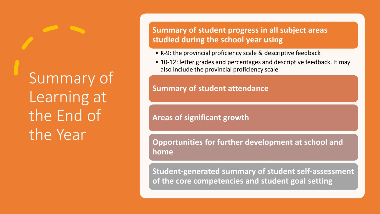Summary of Learning at the End of the Year

**Summary of student progress in all subject areas studied during the school year using** 

- K-9: the provincial proficiency scale & descriptive feedback
- 10-12: letter grades and percentages and descriptive feedback. It may also include the provincial proficiency scale

### **Summary of student attendance**

### **Areas of significant growth**

**Opportunities for further development at school and home**

**Student-generated summary of student self-assessment of the core competencies and student goal setting**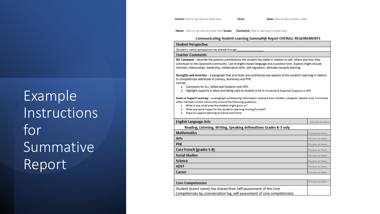Example Instructions for Summative Report

School: Click or tap here to enter text.

Date: Click or tap to enter a date.

Name: Click or tap here to enter text. Grade: Teacher(s): Click or tap here to enter text.

Term:

### Communicating Student Learning Summative Report OVERALL REQUIREMENTS

### **Student Perspective**

(Student's name) perspective was shared through

### **Teacher Comments**

SEL Comment - describe the positive contributions the student has made in relation to self, others and how they contribute to the classroom community. Use strengths-based language and a positive tone. Aspects might include interests, relationships, leadership, collaborative skills, self-regulation, attitudes towards learning.

Strengths and stretches - a paragraph that prioritizes and synthesizes key aspects of the student's learning in relation to competencies addressed in Literacy, Numeracy and PHE.

### Include:

- 1. Comments for ELL, Gifted and Students with IEPs.
- 2. Highlight supports in place and being used by student (Link to Universal & Essential Supports in IEP)

Goals to Support Learning - a paragraph synthesizing information received from student, caregiver, teacher and, if involved, other members of the community around the following questions:

- 1. What is one small area the student might grow in?
- 2. What are some hopes for the student's learning moving forward?
- 3. Ways to support learning at school and home

| <b>English Language Arts</b>                                                                                                                   | Choose an item. |
|------------------------------------------------------------------------------------------------------------------------------------------------|-----------------|
| Reading, Listening, Writing, Speaking delineations Grades K-3 only                                                                             |                 |
| <b>Mathematics</b>                                                                                                                             | Choose an item. |
| Arts                                                                                                                                           | Choose an item. |
| <b>PHE</b>                                                                                                                                     | Choose an item. |
| Core French (grades 5-8)                                                                                                                       | Choose an item. |
| <b>Social Studies</b>                                                                                                                          | Choose an item. |
| Science                                                                                                                                        | Choose an item. |
| <b>ADST</b>                                                                                                                                    | Choose an item. |
| Career                                                                                                                                         | Choose an item. |
|                                                                                                                                                |                 |
| <b>Core Competencies</b>                                                                                                                       | Choose an item. |
| Student (insert name) has shared their Self-assessment of the Core<br>Competencies by (conversation log, self-assessment of core competencies) |                 |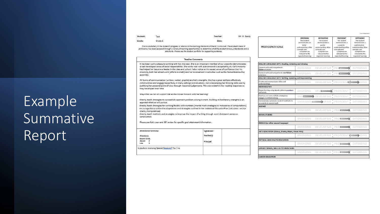# Example Summative Report

Student: Test Grade: Grade 6

assembly.

they developed over time.

approach that we will pursue.

charts, manipulatives)

Attendance Summary:

Is student receiving Special Services2 Yes / no

construction.

Attendance Month TOTAL Absent 0

Late  $\bf o$  Mr. R. Ready

Teacher:

This is a summary of the student's progress in relation to the learning standards of the BC Curriculum. The student's level of proficiency has been assessed through a variety of learning opportunities to determine what the student knows, understands and is able to do. Please see the student portfolio for supporting evidence. **Teacher Comments** It has been such a pleasure working with Kat this year. She is an important member of our classwho demonstrates a well-developed sense of social responsibility. She works well with everyoneand is accepted by all. Kat's maturity has helped her become a leader in the class and school. I also notice an increased sense of confidence that his shown by both her school work (efforts in math) and her involvement in activities such as the Remembrance Day

All forms of communication (written, verbal, graphic) are Kat's strengths. She has a great abilityto effectively communicate and engage respectfully in many settings and situations. Kat is developing her thinking skills well by justifying her personal point of view through reasoned judgements. This was evident in her reading responses as

directly teach strategies to successfully approach problem solving in math. Building on herliterary strengths is an

directly teach methods and strategies to improve the impact of writing through word choiceand sentence

directly teach strategies for working flexibly with numbers (mental math strategies to makesense of computations) encourage Kat to utilize the adaptations and strategies outlined in her Individual EducationPlan (calculator, anchor

> Signatures: Teacher(s)

Principal

Ways that we can all support Kat as she moves forward with her learning:

Please see Kat's year-end IEP review for specific goal attainment information.

Date:

|                          | <b>EMERGING</b>                | <b>DEVELOPING</b>             | <b>PROFICIENT</b>             | <b>EXTENDING</b>              |
|--------------------------|--------------------------------|-------------------------------|-------------------------------|-------------------------------|
| <b>PROFICIENCY SCALE</b> | The student<br>demonstrates an | The student<br>demonstrates a | The student<br>demonstrates a | The student<br>demonstrates a |
|                          | initial                        | partial                       | complete                      | sophisticated                 |
|                          | understanding ofthe            | understanding of the          | understanding of the          | understanding ofthe           |
|                          | concepts and                   | concepts and                  | concepts and                  | concepts and                  |
|                          | competencies                   | competencies                  | competencies                  | competencies                  |
|                          | relevant to the                | relevant to the               | relevant to the               | relevant to the               |
|                          | expected learning.             | expected learning.            | expected learning.            | expected learning.            |

| <b>ENGLISH LANGUAGE ARTS: Reading, Listening and Viewing</b>               |                 |                                                    |                                 |  |
|----------------------------------------------------------------------------|-----------------|----------------------------------------------------|---------------------------------|--|
| Connects with and comprehends<br>fiction selections                        | <b>EMERGING</b> |                                                    | DEVELOPING PROCESSION EXTENDING |  |
| Connects with and comprehends non-fiction<br>selections                    | <b>EMERGING</b> |                                                    | DEVELOPING PROCHAIN EXTENDING   |  |
| <b>ENGLISH LANGUAGE ARTS: Writing, Speaking and Representing</b>           |                 |                                                    |                                 |  |
| Creates and communicates ideas and<br>understandings                       | <b>EMERGING</b> |                                                    | DEVELOPING PROFICIENT JUNG      |  |
| <b>MATHEMATICS</b>                                                         |                 |                                                    |                                 |  |
| Shows learning using objects, pictures pumbers<br>and words                | <b>EMERGING</b> |                                                    | DEVELOPING PROFICIENT EXTENDING |  |
| Develops and uses multiple strategiesto<br>engage in problem solving       |                 | EMEL DEVELOPING PROFICIENT EXTENDING               |                                 |  |
| Demonstrates automatic recall of mathfacts to<br>accurately do mental math |                 | EMERGING <b>CONTROL</b> OPING PROFICIENT EXTENDING |                                 |  |
| <b>SCIENCE</b>                                                             |                 |                                                    |                                 |  |
|                                                                            | <b>EMERGING</b> |                                                    | DEVELOPING PROPERTY EXTENDING   |  |
| <b>SOCIAL STUDIES</b>                                                      |                 |                                                    |                                 |  |
|                                                                            | <b>EMERGING</b> |                                                    | DEVELOPING PROPERTY EXTENDING   |  |
| FRENCH (or other second language)                                          |                 |                                                    |                                 |  |
|                                                                            | <b>EMERGING</b> |                                                    | DEVELOPING PROFESSION EXTENDING |  |
| ARTS EDUCATION (Dance, Drama, Music, Visual Arts)                          |                 |                                                    |                                 |  |
|                                                                            | <b>EMERGING</b> |                                                    | DEVELOPING PROFICIENT           |  |
| PHYSICAL AND HEALTH EDUCATION                                              |                 |                                                    |                                 |  |
|                                                                            | <b>EMERGING</b> |                                                    | DEVELOPING PROPERTY EXTENDING   |  |
| APPLIED DESIGN, SKILLS & TECHNOLOGIES                                      |                 |                                                    |                                 |  |
|                                                                            | <b>EMERGING</b> |                                                    | DEVELOPING PROFIT EXTENDING     |  |
| <b>CAREER EDUCATION</b>                                                    |                 |                                                    |                                 |  |
|                                                                            |                 |                                                    |                                 |  |